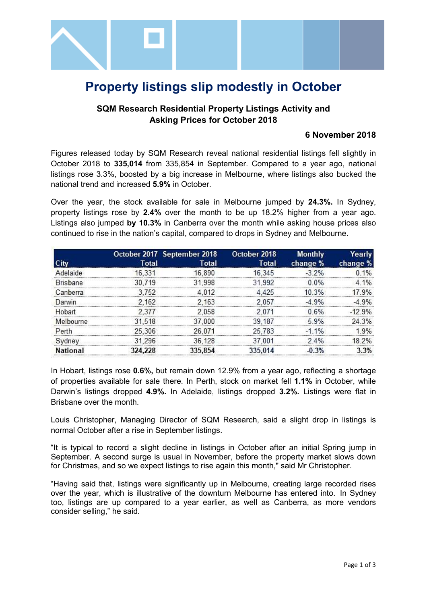

# **Property listings slip modestly in October**

## **SQM Research Residential Property Listings Activity and Asking Prices for October 2018**

#### **6 November 2018**

Figures released today by SQM Research reveal national residential listings fell slightly in October 2018 to **335,014** from 335,854 in September. Compared to a year ago, national listings rose 3.3%, boosted by a big increase in Melbourne, where listings also bucked the national trend and increased **5.9%** in October.

Over the year, the stock available for sale in Melbourne jumped by **24.3%.** In Sydney, property listings rose by **2.4%** over the month to be up 18.2% higher from a year ago. Listings also jumped **by 10.3%** in Canberra over the month while asking house prices also continued to rise in the nation's capital, compared to drops in Sydney and Melbourne.

|                 |         | October 2017 September 2018 | October 2018 | <b>Monthly</b> | Yearly   |
|-----------------|---------|-----------------------------|--------------|----------------|----------|
|                 | Total   | Total                       | Total        | change %       | change % |
| Adelaide        | 16.331  | 16890                       | 16.345       | $-3,2%$        | ٥.       |
| <b>Brisbane</b> | 30 719  | 31.998                      | 31.992       | 0.0%           | 4 1%     |
| Canberra        | 3752    | 4.012                       | 4 4 2 5      | 10.3%          | 17 9%    |
| Darwin          | 2.162   | 2.163                       | 2.057        | $-4.9%$        | 49%      |
| Hobart          | 2377    | 2058                        |              | 0.6%           | $-12.9%$ |
| Melbourne       | 31 518  | 37 000                      | 39 187       | 5.9%           | 24 3%    |
| Perth           | 25.306  | 26 071                      | 25,783       | $-11\%$        | 19%      |
| Svdnev          | 31.296  | 36,128                      | 37.001       | 2.4%           | 18.2%    |
| ational         | 324 228 | 335 854                     | 335 014      | 3%             |          |

In Hobart, listings rose **0.6%,** but remain down 12.9% from a year ago, reflecting a shortage of properties available for sale there. In Perth, stock on market fell **1.1%** in October, while Darwin's listings dropped **4.9%.** In Adelaide, listings dropped **3.2%.** Listings were flat in Brisbane over the month.

Louis Christopher, Managing Director of SQM Research, said a slight drop in listings is normal October after a rise in September listings.

"It is typical to record a slight decline in listings in October after an initial Spring jump in September. A second surge is usual in November, before the property market slows down for Christmas, and so we expect listings to rise again this month," said Mr Christopher.

"Having said that, listings were significantly up in Melbourne, creating large recorded rises over the year, which is illustrative of the downturn Melbourne has entered into. In Sydney too, listings are up compared to a year earlier, as well as Canberra, as more vendors consider selling," he said.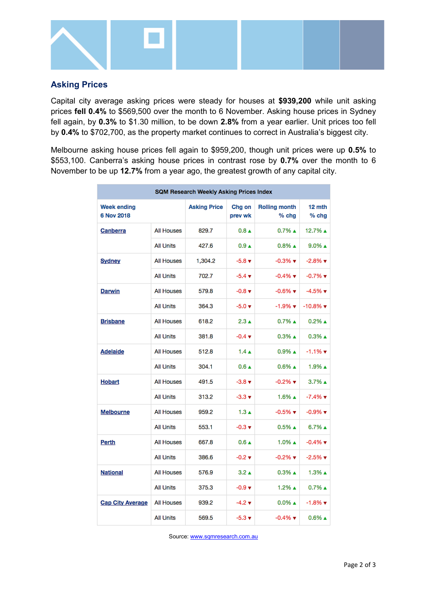

## **Asking Prices**

Capital city average asking prices were steady for houses at **\$939,200** while unit asking prices **fell 0.4%** to \$569,500 over the month to 6 November. Asking house prices in Sydney fell again, by **0.3%** to \$1.30 million, to be down **2.8%** from a year earlier. Unit prices too fell by **0.4%** to \$702,700, as the property market continues to correct in Australia's biggest city.

Melbourne asking house prices fell again to \$959,200, though unit prices were up **0.5%** to \$553,100. Canberra's asking house prices in contrast rose by **0.7%** over the month to 6 November to be up **12.7%** from a year ago, the greatest growth of any capital city.

| <b>SQM Research Weekly Asking Prices Index</b> |                   |                     |                             |                                 |                                |  |  |  |
|------------------------------------------------|-------------------|---------------------|-----------------------------|---------------------------------|--------------------------------|--|--|--|
| <b>Week ending</b><br>6 Nov 2018               |                   | <b>Asking Price</b> | Chg on<br>prev wk           | <b>Rolling month</b><br>$%$ chg | 12 mth<br>$%$ chg              |  |  |  |
| Canberra                                       | <b>All Houses</b> | 829.7               | $0.8 \triangle$             | $0.7\%$ $\triangle$             | 12.7% ▲                        |  |  |  |
|                                                | <b>All Units</b>  | 427.6               | $0.9 \triangle$             | $0.8\%$ $\triangle$             | $9.0\%$ $\triangle$            |  |  |  |
| Sydney                                         | <b>All Houses</b> | 1,304.2             | $-5.8$ $\blacktriangledown$ | $-0.3\%$ $\blacktriangledown$   | $-2.8\%$ $\blacktriangledown$  |  |  |  |
|                                                | <b>All Units</b>  | 702.7               | $-5.4 +$                    | $-0.4\%$ $\blacktriangledown$   | $-0.7%$ $\blacktriangledown$   |  |  |  |
| <b>Darwin</b>                                  | <b>All Houses</b> | 579.8               | $-0.8$ $\blacktriangledown$ | $-0.6\%$ $\blacktriangledown$   | $-4.5\%$ $\blacktriangledown$  |  |  |  |
|                                                | <b>All Units</b>  | 364.3               | $-5.0 \; \text{v}$          | $-1.9\%$ $\blacktriangledown$   | $-10.8\%$ $\blacktriangledown$ |  |  |  |
| <b>Brisbane</b>                                | <b>All Houses</b> | 618.2               | $2.3 \triangle$             | $0.7\%$ $\triangle$             | $0.2\%$ $\triangle$            |  |  |  |
|                                                | <b>All Units</b>  | 381.8               | $-0.4 \times$               | $0.3\%$ $\triangle$             | $0.3\%$ $\triangle$            |  |  |  |
| <b>Adelaide</b>                                | All Houses        | 512.8               | $1.4 \triangle$             | $0.9\%$ $\triangle$             | $-1.1%$ $\blacktriangledown$   |  |  |  |
|                                                | <b>All Units</b>  | 304.1               | $0.6 \triangle$             | $0.6\%$ $\triangle$             | 1.9% ▲                         |  |  |  |
| <b>Hobart</b>                                  | <b>All Houses</b> | 491.5               | $-3.8 \; \text{v}$          | $-0.2\%$ $\blacktriangledown$   | $3.7\%$ $\triangle$            |  |  |  |
|                                                | <b>All Units</b>  | 313.2               | $-3.3 \; \text{v}$          | $1.6\%$ $\triangle$             | $-7.4\%$ $\blacktriangledown$  |  |  |  |
| Melbourne                                      | <b>All Houses</b> | 959.2               | $1.3 \text{ A}$             | $-0.5%$ $\blacktriangledown$    | $-0.9\%$ $\blacktriangledown$  |  |  |  |
|                                                | <b>All Units</b>  | 553.1               | $-0.3 \; \text{v}$          | $0.5\%$ $\triangle$             | $6.7\%$ $\triangle$            |  |  |  |
| Perth                                          | All Houses        | 667.8               | $0.6 \triangle$             | $1.0\%$ $\triangle$             | $-0.4\%$ $\blacktriangledown$  |  |  |  |
|                                                | <b>All Units</b>  | 386.6               | $-0.2$ $\blacktriangledown$ | $-0.2\%$ $\blacktriangledown$   | $-2.5%$ $\blacktriangledown$   |  |  |  |
| <b>National</b>                                | <b>All Houses</b> | 576.9               | $3.2 \triangle$             | $0.3\%$ $\triangle$             | $1.3\%$ $\triangle$            |  |  |  |
|                                                | <b>All Units</b>  | 375.3               | $-0.9 +$                    | $1.2\%$ $\triangle$             | $0.7\%$ $\triangle$            |  |  |  |
| <b>Cap City Average</b>                        | <b>All Houses</b> | 939.2               | $-4.2 \times$               | $0.0\%$ $\triangle$             | $-1.8\%$ $\blacktriangledown$  |  |  |  |
|                                                | <b>All Units</b>  | 569.5               | $-5.3 \; \text{v}$          | $-0.4\%$ $\blacktriangledown$   | $0.6\%$ $\triangle$            |  |  |  |

Source[: www.sqmresearch.com.au](http://www.sqmresearch.com.au/)